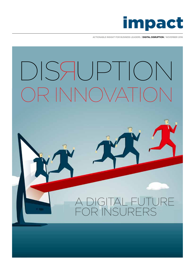

**ACTIONABLE INSIGHT FOR BUSINESS LEADERS / DIGITAL DISRUPTION / NOVEMBER 2016**

# $\sqrt{|\bigwedge(\bigcap\bigvee\bigwedge')|}$ DISSEUPTION

# GITAL FUTURE R INSURERS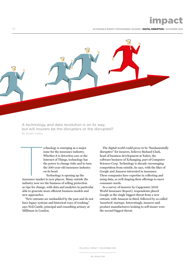impact

02 **ACTIONABLE INSIGHT FOR BUSINESS LEADERS / DIGITAL DISRUPTION / NOVEMBER 2016**



A technology and data revolution is on its way, but will insurers be the disrupters or the disrupted? By Stuart Collins

> echnology is emerging as a major issue for the insurance industry. Whether it is driverless cars or the Internet of Things, technology has the power to change risks and to turn the 300-year-old insurance industry on its head.

Technology is opening up the insurance market to new players. Many outside the industry now see the business of selling protection as ripe for change, with data and analytics in particular able to generate more efficient business models and new approaches. **THE CONSTRUCTED SERVER CONSTRUCTED**<br>Triplet and the market

"New entrants are unshackled by the past and do not have legacy systems and historical ways of working," says Neil Cantle, principal and consulting actuary at Milliman in London.

The digital world could prove to be "fundamentally disruptive" for insurers, believes Richard Clark, head of business development at Xuber, the software business of Xchanging, part of Computer Sciences Corp. Technology is already encouraging competition from outside, he says, with the likes of Google and Amazon interested in insurance. These companies have expertise in collecting and using data, as well shaping their offerings to meet consumer needs.

In a survey of insurers by Capgemini (2016 World Insurance Report), respondents placed Google as the single biggest threat from a new entrant, with Amazon in third, followed by so-called 'insurtech' startups. Interestingly, insurers said product manufacturers looking to self-insure were the second biggest threat.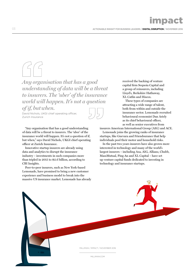impact

*Any organisation that has a good understanding of data will be a threat to insurers. The 'uber' of the insurance world will happen. It's not a question* 

*of if, butwhen.*

David Nichols, UKGI chief operating officer, Zurich Insurance

"Any organisation that has a good understanding of data will be a threat to insurers. The 'uber' of the insurance world will happen. It's not a question of if, but when," says David Nichols, UKGI chief operating officer at Zurich Insurance.

Innovative startup insurers are already using data and analytics to disrupt the insurance industry – investments in such companies more than tripled in 2015 to \$2.6 billion, according to CBI Insights.

Peer-to-peer insurers, such as New York-based Lemonade, have promised to bring a new customer experience and business model to break into the massive US insurance market. Lemonade has already

received the backing of venture capital firm Sequoia Capital and a group of reinsurers, including Lloyd's, Berkshire Hathaway, XL Catlin and Hiscox.

These types of companies are attracting a wide range of talent, both from within and outside the insurance sector. Lemonade recruited behavioural economist Dan Ariely as its chief behavioural officer, as well as senior executives from

insurers American International Group (AIG) and ACE.

Lemonade joins the growing ranks of insurance startups, like Guevara and Friendsurance that help individuals pool their motor and household risks.

In the past two years insurers have also grown more interested in technology and many of the world's largest insurers – including Axa, AIG, Allianz, Chubb, MassMutual, Ping An and XL Capital – have set up venture capital funds dedicated to investing in technology and insurance startups.

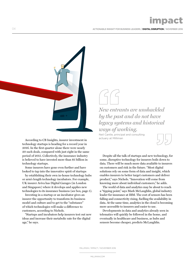**ACTIONABLE INSIGHT FOR BUSINESS LEADERS / DIGITAL DISRUPTION / NOVEMBER 2016**



According to CB Insights, insurer investment in technology startups is heading for a record year in 2016. In the first quarter alone there were nearly 20 such deals, compared with just eight in the same period of 2015. Collectively, the insurance industry is believed to have invested more than \$1 billion in technology startups.

Some insurers have gone even further and have looked to tap into the innovative spirit of startups

by establishing their own in-house technology hubs or arm's length technology incubators. For example, UK insurer Aviva has Digital Garages (in London and Singapore) where it develops and applies new technologies to its insurance business (see box, page 5).

Investing in a startup or an incubator gives an insurer the opportunity to transform its business model and culture and to get to the "substance" of which technologies will make a difference to customers, according to Nichols.

"Startups and incubators help insurers test out new ideas and increase their metabolic rate for the digital age," he says.

### *New entrants are unshackled by the past and do not have legacy systems and historical ways of working.*

Neil Cantle, principal and consulting actuary at Milliman

Despite all the talk of startups and new technology, for some, disruptive technology for insurers boils down to data. There will be much more data available to insurers on customers and risk in the future. "Most digital solutions rely on some form of data and insight, which enables insurers to better target customers and deliver product," says Nichols. "Innovation will come from knowing more about individual customers," he adds.

The world of data and analytics may be about to reach a "tipping point," says Mark McLaughlin, global industry leader for insurance at IBM. The cost of sensors has been falling and connectivity rising, fuelling the availability in data. At the same time, analytics in the cloud is becoming more accessible to insurers and easier to use.

Developments in data and analytics already seen in telematics will quickly be followed in the home, and eventually in healthcare and business, as hubs and sensors become cheaper, predicts McLaughlin.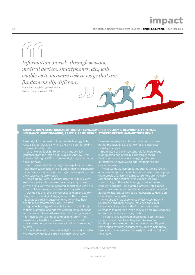*Information on risk, through sensors, medical devices, smartphones, etc., will enable us to measure risk in ways that are fundamentally different.*

Mark McLaughlin, global industry leader for insurance, IBM

### ANDREW BREM, CHIEF DIGITAL OFFICER AT AVIVA, SAYS TECHNOLOGY IS HELPINGTHE FIRM MAKE INSURANCE MORE ENGAGING, AS WELL AS HELPING CUSTOMERS BETTER MANAGE THEIR RISKS

Based right in the heart of London's technology hub, Aviva's Digital Garage is where the UK insurer is looking

Aviva's chief digital officer. "We are digitising what Aviva

much more convenient, efficient and engaging experience for consumers. Something they might not be getting from the insurance industry today.

According to Brem, customer dealings with insurers

"Our goal is one-click convenience and an end to form filling, with more digital engagement with customers. It is all about driving customer engagement to help people make smarter decisions," he says.

Digital technology will enable insurers to get closer to their customers and address a broad range of needs across product lines, believes Brem. "In the digital world, investments, health and general Insurance – to all he says.

Brem also sees an important role for technology in addressing one of the big challenges facing the insurance industry: encouraging reluctant

"What we do as insurers is important. We are looking them provide for later life. But consumers are typically disengaged and sceptical of insurance," he says.

According to Brem, technology could act as an enabler to engage. For example, artificial intelligence advice to insurers, as well as ask questions to gauge an individual's risk appetite.

Aviva already has experience of using technology to increase engagement and influence consumer behaviours. It was one of the first insurers to use telematics to monitor driver behaviour and give feedback

flooding, crime rates, etc., but no one has yet flipped take action. Now we have the analytics ability to do so," says Brem.